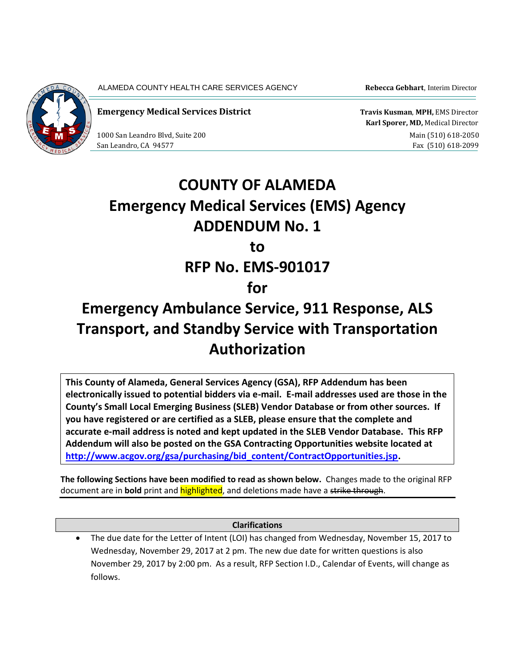

ALAMEDA COUNTY HEALTH CARE SERVICES AGENCY **Rebecca Gebhart**, Interim Director

**Emergency Medical Services District Travis Kusman, MPH, EMS Director Travis Kusman, MPH, EMS Director** 

 **Karl Sporer, MD,** Medical Director 1000 San Leandro Blvd, Suite 200 and Suite 200 main (510) 618-2050 San Leandro, CA 94577 Fax (510) 618-2099

## **COUNTY OF ALAMEDA Emergency Medical Services (EMS) Agency ADDENDUM No. 1 to RFP No. EMS-901017**

## **for**

## **Emergency Ambulance Service, 911 Response, ALS Transport, and Standby Service with Transportation Authorization**

**This County of Alameda, General Services Agency (GSA), RFP Addendum has been electronically issued to potential bidders via e-mail. E-mail addresses used are those in the County's Small Local Emerging Business (SLEB) Vendor Database or from other sources. If you have registered or are certified as a SLEB, please ensure that the complete and accurate e-mail address is noted and kept updated in the SLEB Vendor Database. This RFP Addendum will also be posted on the GSA Contracting Opportunities website located at [http://www.acgov.org/gsa/purchasing/bid\\_content/ContractOpportunities.jsp.](http://www.acgov.org/gsa/purchasing/bid_content/ContractOpportunities.jsp)**

**The following Sections have been modified to read as shown below.** Changes made to the original RFP document are in **bold** print and highlighted, and deletions made have a strike through.

**Clarifications**

The due date for the Letter of Intent (LOI) has changed from Wednesday, November 15, 2017 to Wednesday, November 29, 2017 at 2 pm. The new due date for written questions is also November 29, 2017 by 2:00 pm. As a result, RFP Section I.D., Calendar of Events, will change as follows.